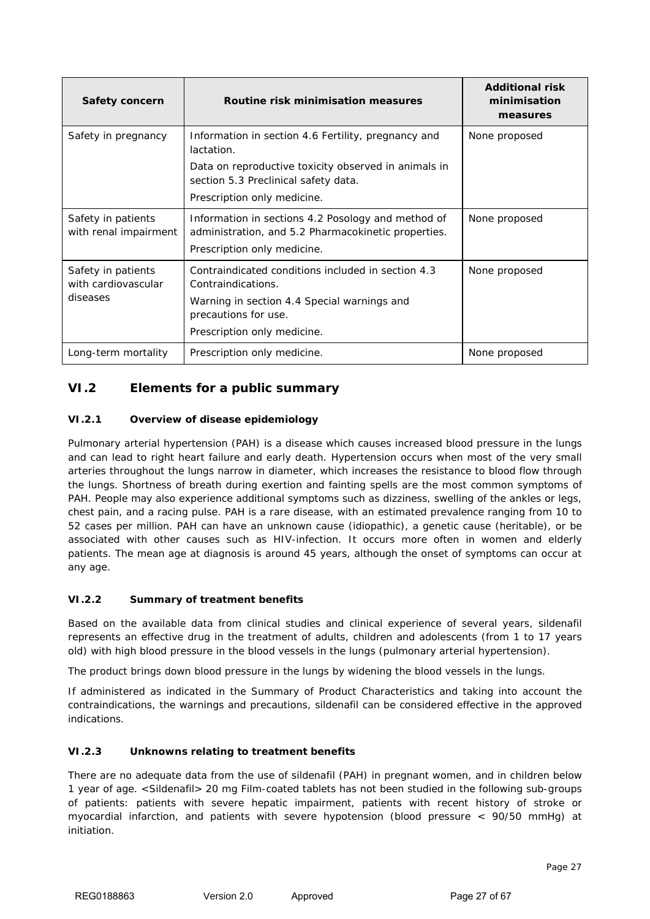## **VI.2 Elements for a public summary**

#### **VI.2.1 Overview of disease epidemiology**

Pulmonary arterial hypertension (PAH) is a disease which causes increased blood pressure in the lungs and can lead to right heart failure and early death. Hypertension occurs when most of the very small arteries throughout the lungs narrow in diameter, which increases the resistance to blood flow through the lungs. Shortness of breath during exertion and fainting spells are the most common symptoms of PAH. People may also experience additional symptoms such as dizziness, swelling of the ankles or legs, chest pain, and a racing pulse. PAH is a rare disease, with an estimated prevalence ranging from 10 to 52 cases per million. PAH can have an unknown cause (idiopathic), a genetic cause (heritable), or be associated with other causes such as HIV-infection. It occurs more often in women and elderly patients. The mean age at diagnosis is around 45 years, although the onset of symptoms can occur at any age.

#### **VI.2.2 Summary of treatment benefits**

Based on the available data from clinical studies and clinical experience of several years, sildenafil represents an effective drug in the treatment of adults, children and adolescents (from 1 to 17 years old) with high blood pressure in the blood vessels in the lungs (pulmonary arterial hypertension).

The product brings down blood pressure in the lungs by widening the blood vessels in the lungs.

If administered as indicated in the Summary of Product Characteristics and taking into account the contraindications, the warnings and precautions, sildenafil can be considered effective in the approved indications.

#### **VI.2.3 Unknowns relating to treatment benefits**

There are no adequate data from the use of sildenafil (PAH) in pregnant women, and in children below 1 year of age. <Sildenafil> 20 mg Film-coated tablets has not been studied in the following sub-groups of patients: patients with severe hepatic impairment, patients with recent history of stroke or myocardial infarction, and patients with severe hypotension (blood pressure < 90/50 mmHg) at initiation.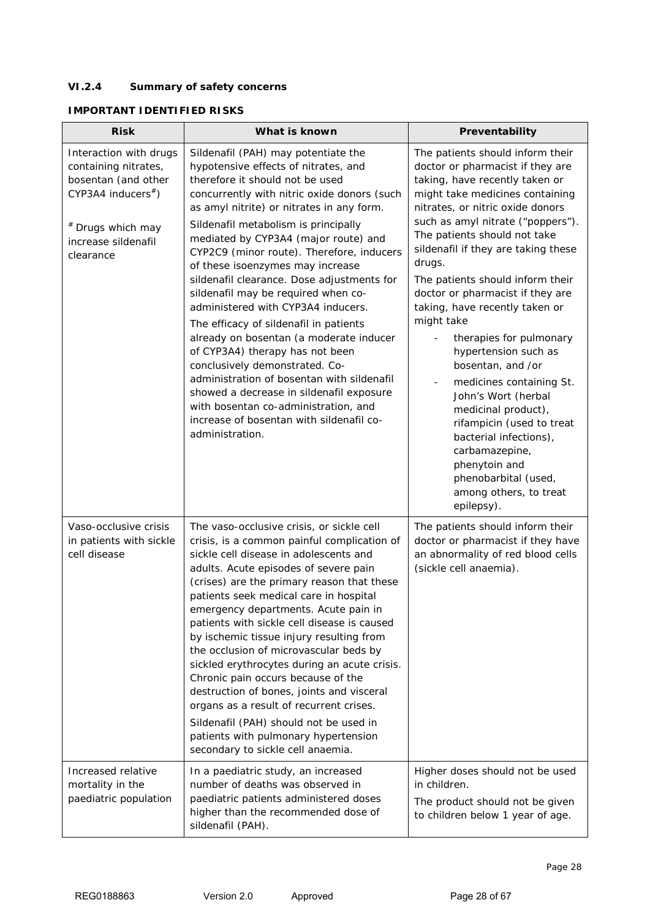## **VI.2.4 Summary of safety concerns**

# **IMPORTANT IDENTIFIED RISKS**

| <b>Risk</b>                                                                                                                                                        | What is known                                                                                                                                                                                                                                                                                                                                                                                                                                                                                                                                                                                                                                                                                                                                                                                                                                                     | Preventability                                                                                                                                                                                                                                                                                                                                                                                                                                                                                                                                                                                                                                                                                                                                                      |
|--------------------------------------------------------------------------------------------------------------------------------------------------------------------|-------------------------------------------------------------------------------------------------------------------------------------------------------------------------------------------------------------------------------------------------------------------------------------------------------------------------------------------------------------------------------------------------------------------------------------------------------------------------------------------------------------------------------------------------------------------------------------------------------------------------------------------------------------------------------------------------------------------------------------------------------------------------------------------------------------------------------------------------------------------|---------------------------------------------------------------------------------------------------------------------------------------------------------------------------------------------------------------------------------------------------------------------------------------------------------------------------------------------------------------------------------------------------------------------------------------------------------------------------------------------------------------------------------------------------------------------------------------------------------------------------------------------------------------------------------------------------------------------------------------------------------------------|
| Interaction with drugs<br>containing nitrates,<br>bosentan (and other<br>$CYP3A4$ inducers <sup>#</sup> )<br># Drugs which may<br>increase sildenafil<br>clearance | Sildenafil (PAH) may potentiate the<br>hypotensive effects of nitrates, and<br>therefore it should not be used<br>concurrently with nitric oxide donors (such<br>as amyl nitrite) or nitrates in any form.<br>Sildenafil metabolism is principally<br>mediated by CYP3A4 (major route) and<br>CYP2C9 (minor route). Therefore, inducers<br>of these isoenzymes may increase<br>sildenafil clearance. Dose adjustments for<br>sildenafil may be required when co-<br>administered with CYP3A4 inducers.<br>The efficacy of sildenafil in patients<br>already on bosentan (a moderate inducer<br>of CYP3A4) therapy has not been<br>conclusively demonstrated. Co-<br>administration of bosentan with sildenafil<br>showed a decrease in sildenafil exposure<br>with bosentan co-administration, and<br>increase of bosentan with sildenafil co-<br>administration. | The patients should inform their<br>doctor or pharmacist if they are<br>taking, have recently taken or<br>might take medicines containing<br>nitrates, or nitric oxide donors<br>such as amyl nitrate ("poppers").<br>The patients should not take<br>sildenafil if they are taking these<br>drugs.<br>The patients should inform their<br>doctor or pharmacist if they are<br>taking, have recently taken or<br>might take<br>therapies for pulmonary<br>hypertension such as<br>bosentan, and /or<br>medicines containing St.<br>$\overline{\phantom{a}}$<br>John's Wort (herbal<br>medicinal product),<br>rifampicin (used to treat<br>bacterial infections),<br>carbamazepine,<br>phenytoin and<br>phenobarbital (used,<br>among others, to treat<br>epilepsy). |
| Vaso-occlusive crisis<br>in patients with sickle<br>cell disease                                                                                                   | The vaso-occlusive crisis, or sickle cell<br>crisis, is a common painful complication of<br>sickle cell disease in adolescents and<br>adults. Acute episodes of severe pain<br>(crises) are the primary reason that these<br>patients seek medical care in hospital<br>emergency departments. Acute pain in<br>patients with sickle cell disease is caused<br>by ischemic tissue injury resulting from<br>the occlusion of microvascular beds by<br>sickled erythrocytes during an acute crisis.<br>Chronic pain occurs because of the<br>destruction of bones, joints and visceral<br>organs as a result of recurrent crises.<br>Sildenafil (PAH) should not be used in<br>patients with pulmonary hypertension<br>secondary to sickle cell anaemia.                                                                                                             | The patients should inform their<br>doctor or pharmacist if they have<br>an abnormality of red blood cells<br>(sickle cell anaemia).                                                                                                                                                                                                                                                                                                                                                                                                                                                                                                                                                                                                                                |
| Increased relative<br>mortality in the<br>paediatric population                                                                                                    | In a paediatric study, an increased<br>number of deaths was observed in<br>paediatric patients administered doses<br>higher than the recommended dose of<br>sildenafil (PAH).                                                                                                                                                                                                                                                                                                                                                                                                                                                                                                                                                                                                                                                                                     | Higher doses should not be used<br>in children.<br>The product should not be given<br>to children below 1 year of age.                                                                                                                                                                                                                                                                                                                                                                                                                                                                                                                                                                                                                                              |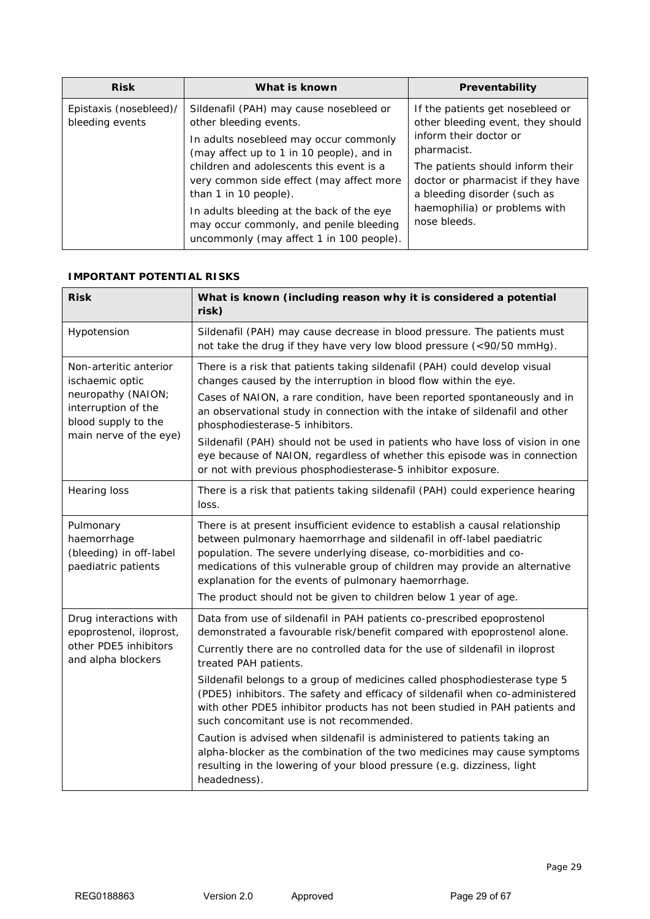| <b>Risk</b>                               | What is known                                                                                                                                                                                                                                                             | Preventability                                                                                                                                                                                                                                           |
|-------------------------------------------|---------------------------------------------------------------------------------------------------------------------------------------------------------------------------------------------------------------------------------------------------------------------------|----------------------------------------------------------------------------------------------------------------------------------------------------------------------------------------------------------------------------------------------------------|
| Epistaxis (nosebleed)/<br>bleeding events | Sildenafil (PAH) may cause nosebleed or<br>other bleeding events.<br>In adults nosebleed may occur commonly<br>(may affect up to 1 in 10 people), and in<br>children and adolescents this event is a<br>very common side effect (may affect more<br>than 1 in 10 people). | If the patients get nosebleed or<br>other bleeding event, they should<br>inform their doctor or<br>pharmacist.<br>The patients should inform their<br>doctor or pharmacist if they have<br>a bleeding disorder (such as<br>haemophilia) or problems with |
|                                           | In adults bleeding at the back of the eye<br>may occur commonly, and penile bleeding<br>uncommonly (may affect 1 in 100 people).                                                                                                                                          | nose bleeds.                                                                                                                                                                                                                                             |

### **IMPORTANT POTENTIAL RISKS**

| <b>Risk</b>                                                                                                                             | What is known (including reason why it is considered a potential<br>risk)                                                                                                                                                                                                                                                                                                                                                                                                                                                                                                      |
|-----------------------------------------------------------------------------------------------------------------------------------------|--------------------------------------------------------------------------------------------------------------------------------------------------------------------------------------------------------------------------------------------------------------------------------------------------------------------------------------------------------------------------------------------------------------------------------------------------------------------------------------------------------------------------------------------------------------------------------|
| Hypotension                                                                                                                             | Sildenafil (PAH) may cause decrease in blood pressure. The patients must<br>not take the drug if they have very low blood pressure (<90/50 mmHg).                                                                                                                                                                                                                                                                                                                                                                                                                              |
| Non-arteritic anterior<br>ischaemic optic<br>neuropathy (NAION;<br>interruption of the<br>blood supply to the<br>main nerve of the eye) | There is a risk that patients taking sildenafil (PAH) could develop visual<br>changes caused by the interruption in blood flow within the eye.<br>Cases of NAION, a rare condition, have been reported spontaneously and in<br>an observational study in connection with the intake of sildenafil and other<br>phosphodiesterase-5 inhibitors.<br>Sildenafil (PAH) should not be used in patients who have loss of vision in one<br>eye because of NAION, regardless of whether this episode was in connection<br>or not with previous phosphodiesterase-5 inhibitor exposure. |
| <b>Hearing loss</b>                                                                                                                     | There is a risk that patients taking sildenafil (PAH) could experience hearing<br>loss.                                                                                                                                                                                                                                                                                                                                                                                                                                                                                        |
| Pulmonary<br>haemorrhage<br>(bleeding) in off-label<br>paediatric patients                                                              | There is at present insufficient evidence to establish a causal relationship<br>between pulmonary haemorrhage and sildenafil in off-label paediatric<br>population. The severe underlying disease, co-morbidities and co-<br>medications of this vulnerable group of children may provide an alternative<br>explanation for the events of pulmonary haemorrhage.<br>The product should not be given to children below 1 year of age.                                                                                                                                           |
| Drug interactions with<br>epoprostenol, iloprost,<br>other PDE5 inhibitors<br>and alpha blockers                                        | Data from use of sildenafil in PAH patients co-prescribed epoprostenol<br>demonstrated a favourable risk/benefit compared with epoprostenol alone.<br>Currently there are no controlled data for the use of sildenafil in iloprost<br>treated PAH patients.                                                                                                                                                                                                                                                                                                                    |
|                                                                                                                                         | Sildenafil belongs to a group of medicines called phosphodiesterase type 5<br>(PDE5) inhibitors. The safety and efficacy of sildenafil when co-administered<br>with other PDE5 inhibitor products has not been studied in PAH patients and<br>such concomitant use is not recommended.                                                                                                                                                                                                                                                                                         |
|                                                                                                                                         | Caution is advised when sildenafil is administered to patients taking an<br>alpha-blocker as the combination of the two medicines may cause symptoms<br>resulting in the lowering of your blood pressure (e.g. dizziness, light<br>headedness).                                                                                                                                                                                                                                                                                                                                |